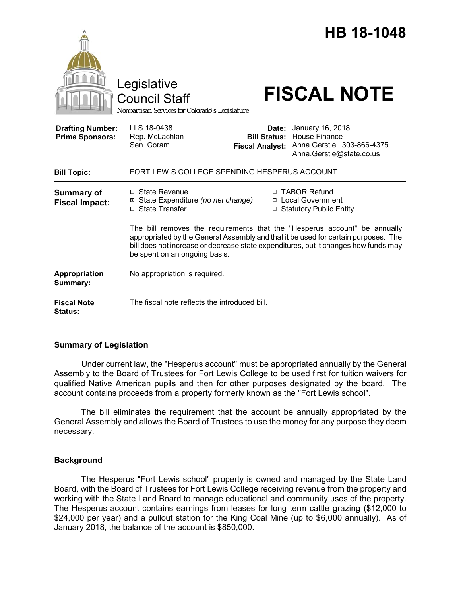|                                                   | Legislative<br><b>Council Staff</b><br>Nonpartisan Services for Colorado's Legislature                                                                                                                                                                                                  |                              | <b>HB 18-1048</b><br><b>FISCAL NOTE</b>                                                                             |
|---------------------------------------------------|-----------------------------------------------------------------------------------------------------------------------------------------------------------------------------------------------------------------------------------------------------------------------------------------|------------------------------|---------------------------------------------------------------------------------------------------------------------|
| <b>Drafting Number:</b><br><b>Prime Sponsors:</b> | LLS 18-0438<br>Rep. McLachlan<br>Sen. Coram                                                                                                                                                                                                                                             | Date:<br><b>Bill Status:</b> | January 16, 2018<br><b>House Finance</b><br>Fiscal Analyst: Anna Gerstle   303-866-4375<br>Anna.Gerstle@state.co.us |
| <b>Bill Topic:</b>                                | FORT LEWIS COLLEGE SPENDING HESPERUS ACCOUNT                                                                                                                                                                                                                                            |                              |                                                                                                                     |
| <b>Summary of</b><br><b>Fiscal Impact:</b>        | $\Box$ State Revenue<br>⊠ State Expenditure (no net change)<br>□ State Transfer                                                                                                                                                                                                         |                              | □ TABOR Refund<br>□ Local Government<br>□ Statutory Public Entity                                                   |
|                                                   | The bill removes the requirements that the "Hesperus account" be annually<br>appropriated by the General Assembly and that it be used for certain purposes. The<br>bill does not increase or decrease state expenditures, but it changes how funds may<br>be spent on an ongoing basis. |                              |                                                                                                                     |
| Appropriation<br>Summary:                         | No appropriation is required.                                                                                                                                                                                                                                                           |                              |                                                                                                                     |
| <b>Fiscal Note</b><br><b>Status:</b>              | The fiscal note reflects the introduced bill.                                                                                                                                                                                                                                           |                              |                                                                                                                     |

# **Summary of Legislation**

Under current law, the "Hesperus account" must be appropriated annually by the General Assembly to the Board of Trustees for Fort Lewis College to be used first for tuition waivers for qualified Native American pupils and then for other purposes designated by the board. The account contains proceeds from a property formerly known as the "Fort Lewis school".

The bill eliminates the requirement that the account be annually appropriated by the General Assembly and allows the Board of Trustees to use the money for any purpose they deem necessary.

# **Background**

The Hesperus "Fort Lewis school" property is owned and managed by the State Land Board, with the Board of Trustees for Fort Lewis College receiving revenue from the property and working with the State Land Board to manage educational and community uses of the property. The Hesperus account contains earnings from leases for long term cattle grazing (\$12,000 to \$24,000 per year) and a pullout station for the King Coal Mine (up to \$6,000 annually). As of January 2018, the balance of the account is \$850,000.